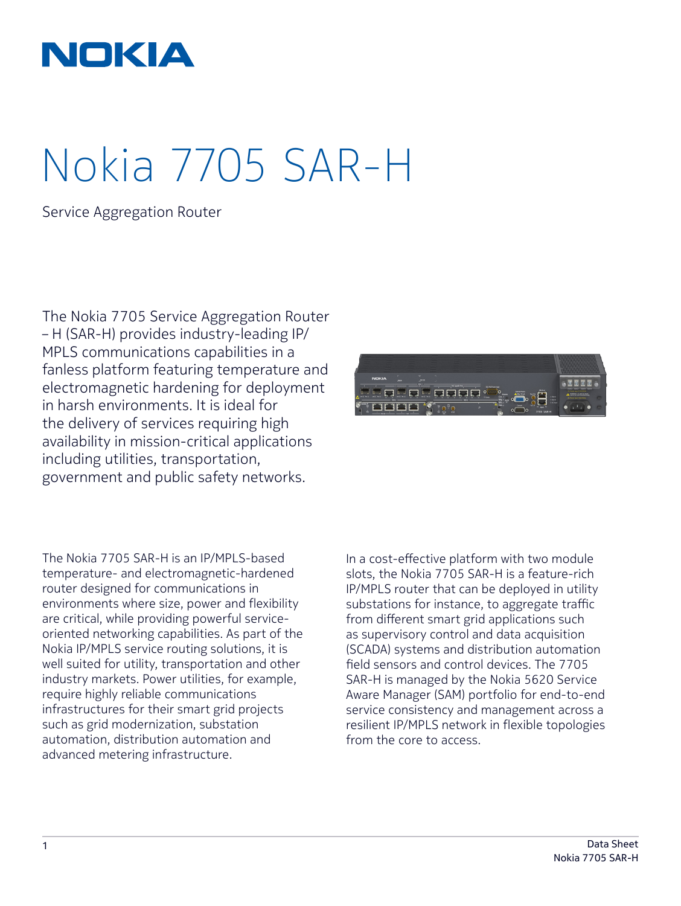

# Nokia 7705 SAR-H

Service Aggregation Router

The Nokia 7705 Service Aggregation Router – H (SAR-H) provides industry-leading IP/ MPLS communications capabilities in a fanless platform featuring temperature and electromagnetic hardening for deployment in harsh environments. It is ideal for the delivery of services requiring high availability in mission-critical applications including utilities, transportation, government and public safety networks.



The Nokia 7705 SAR-H is an IP/MPLS-based temperature- and electromagnetic-hardened router designed for communications in environments where size, power and flexibility are critical, while providing powerful serviceoriented networking capabilities. As part of the Nokia IP/MPLS service routing solutions, it is well suited for utility, transportation and other industry markets. Power utilities, for example, require highly reliable communications infrastructures for their smart grid projects such as grid modernization, substation automation, distribution automation and advanced metering infrastructure.

In a cost-effective platform with two module slots, the Nokia 7705 SAR-H is a feature-rich IP/MPLS router that can be deployed in utility substations for instance, to aggregate traffic from different smart grid applications such as supervisory control and data acquisition (SCADA) systems and distribution automation field sensors and control devices. The 7705 SAR-H is managed by the Nokia 5620 Service Aware Manager (SAM) portfolio for end-to-end service consistency and management across a resilient IP/MPLS network in flexible topologies from the core to access.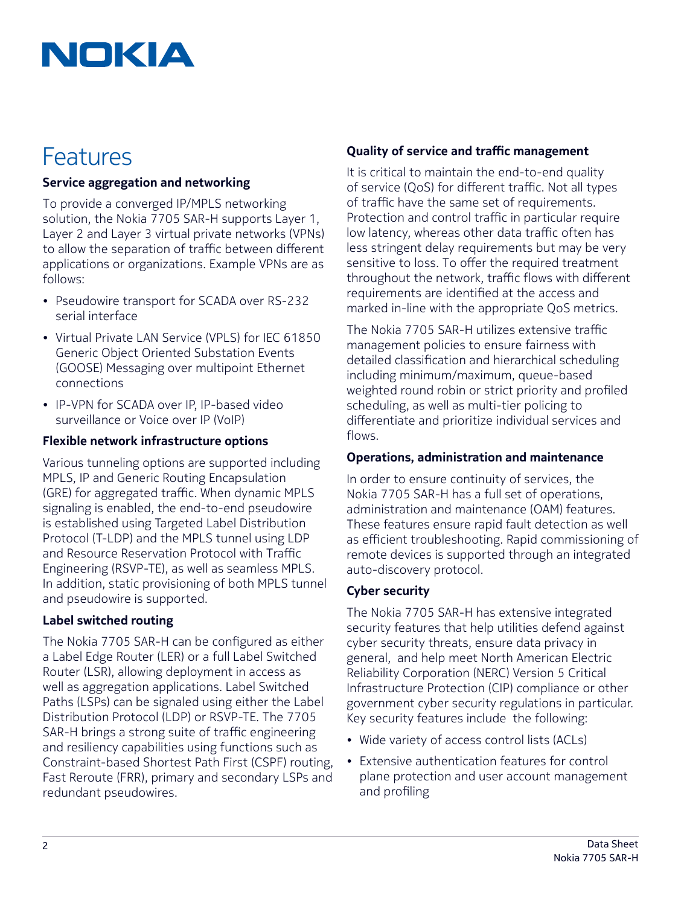## NOKIA

### Features

#### Service aggregation and networking

To provide a converged IP/MPLS networking solution, the Nokia 7705 SAR-H supports Layer 1, Layer 2 and Layer 3 virtual private networks (VPNs) to allow the separation of traffic between different applications or organizations. Example VPNs are as follows:

- Pseudowire transport for SCADA over RS-232 serial interface
- Virtual Private LAN Service (VPLS) for IEC 61850 Generic Object Oriented Substation Events (GOOSE) Messaging over multipoint Ethernet connections
- IP-VPN for SCADA over IP, IP-based video surveillance or Voice over IP (VoIP)

#### Flexible network infrastructure options

Various tunneling options are supported including MPLS, IP and Generic Routing Encapsulation (GRE) for aggregated traffic. When dynamic MPLS signaling is enabled, the end-to-end pseudowire is established using Targeted Label Distribution Protocol (T-LDP) and the MPLS tunnel using LDP and Resource Reservation Protocol with Traffic Engineering (RSVP-TE), as well as seamless MPLS. In addition, static provisioning of both MPLS tunnel and pseudowire is supported.

#### Label switched routing

The Nokia 7705 SAR-H can be configured as either a Label Edge Router (LER) or a full Label Switched Router (LSR), allowing deployment in access as well as aggregation applications. Label Switched Paths (LSPs) can be signaled using either the Label Distribution Protocol (LDP) or RSVP-TE. The 7705 SAR-H brings a strong suite of traffic engineering and resiliency capabilities using functions such as Constraint-based Shortest Path First (CSPF) routing, Fast Reroute (FRR), primary and secondary LSPs and redundant pseudowires.

#### Quality of service and traffic management

It is critical to maintain the end-to-end quality of service (QoS) for different traffic. Not all types of traffic have the same set of requirements. Protection and control traffic in particular require low latency, whereas other data traffic often has less stringent delay requirements but may be very sensitive to loss. To offer the required treatment throughout the network, traffic flows with different requirements are identified at the access and marked in-line with the appropriate QoS metrics.

The Nokia 7705 SAR-H utilizes extensive traffic management policies to ensure fairness with detailed classification and hierarchical scheduling including minimum/maximum, queue-based weighted round robin or strict priority and profiled scheduling, as well as multi-tier policing to differentiate and prioritize individual services and flows.

#### Operations, administration and maintenance

In order to ensure continuity of services, the Nokia 7705 SAR-H has a full set of operations, administration and maintenance (OAM) features. These features ensure rapid fault detection as well as efficient troubleshooting. Rapid commissioning of remote devices is supported through an integrated auto-discovery protocol.

#### Cyber security

The Nokia 7705 SAR-H has extensive integrated security features that help utilities defend against cyber security threats, ensure data privacy in general, and help meet North American Electric Reliability Corporation (NERC) Version 5 Critical Infrastructure Protection (CIP) compliance or other government cyber security regulations in particular. Key security features include the following:

- Wide variety of access control lists (ACLs)
- Extensive authentication features for control plane protection and user account management and profiling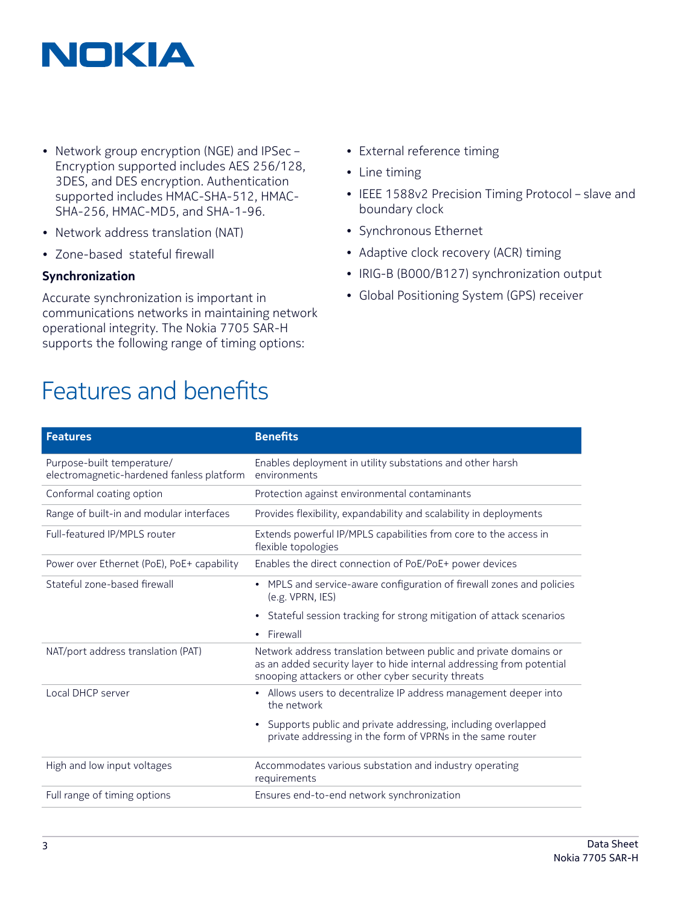

- Network group encryption (NGE) and IPSec Encryption supported includes AES 256/128, 3DES, and DES encryption. Authentication supported includes HMAC-SHA-512, HMAC-SHA-256, HMAC-MD5, and SHA-1-96.
- Network address translation (NAT)
- Zone-based stateful firewall

#### Synchronization

Accurate synchronization is important in communications networks in maintaining network operational integrity. The Nokia 7705 SAR-H supports the following range of timing options:

## Features and benefits

- External reference timing
- Line timing
- IEEE 1588v2 Precision Timing Protocol slave and boundary clock
- Synchronous Ethernet
- Adaptive clock recovery (ACR) timing
- IRIG-B (B000/B127) synchronization output
- Global Positioning System (GPS) receiver

| <b>Features</b>                                                         | <b>Benefits</b>                                                                                                                                                                                  |
|-------------------------------------------------------------------------|--------------------------------------------------------------------------------------------------------------------------------------------------------------------------------------------------|
| Purpose-built temperature/<br>electromagnetic-hardened fanless platform | Enables deployment in utility substations and other harsh<br>environments                                                                                                                        |
| Conformal coating option                                                | Protection against environmental contaminants                                                                                                                                                    |
| Range of built-in and modular interfaces                                | Provides flexibility, expandability and scalability in deployments                                                                                                                               |
| Full-featured IP/MPLS router                                            | Extends powerful IP/MPLS capabilities from core to the access in<br>flexible topologies                                                                                                          |
| Power over Ethernet (PoE), PoE+ capability                              | Enables the direct connection of PoE/PoE+ power devices                                                                                                                                          |
| Stateful zone-based firewall                                            | MPLS and service-aware configuration of firewall zones and policies<br>$\bullet$<br>(e.g. VPRN, IES)                                                                                             |
|                                                                         | Stateful session tracking for strong mitigation of attack scenarios<br>$\bullet$                                                                                                                 |
|                                                                         | Firewall<br>$\bullet$                                                                                                                                                                            |
| NAT/port address translation (PAT)                                      | Network address translation between public and private domains or<br>as an added security layer to hide internal addressing from potential<br>snooping attackers or other cyber security threats |
| Local DHCP server                                                       | • Allows users to decentralize IP address management deeper into<br>the network                                                                                                                  |
|                                                                         | Supports public and private addressing, including overlapped<br>$\bullet$<br>private addressing in the form of VPRNs in the same router                                                          |
| High and low input voltages                                             | Accommodates various substation and industry operating<br>requirements                                                                                                                           |
| Full range of timing options                                            | Ensures end-to-end network synchronization                                                                                                                                                       |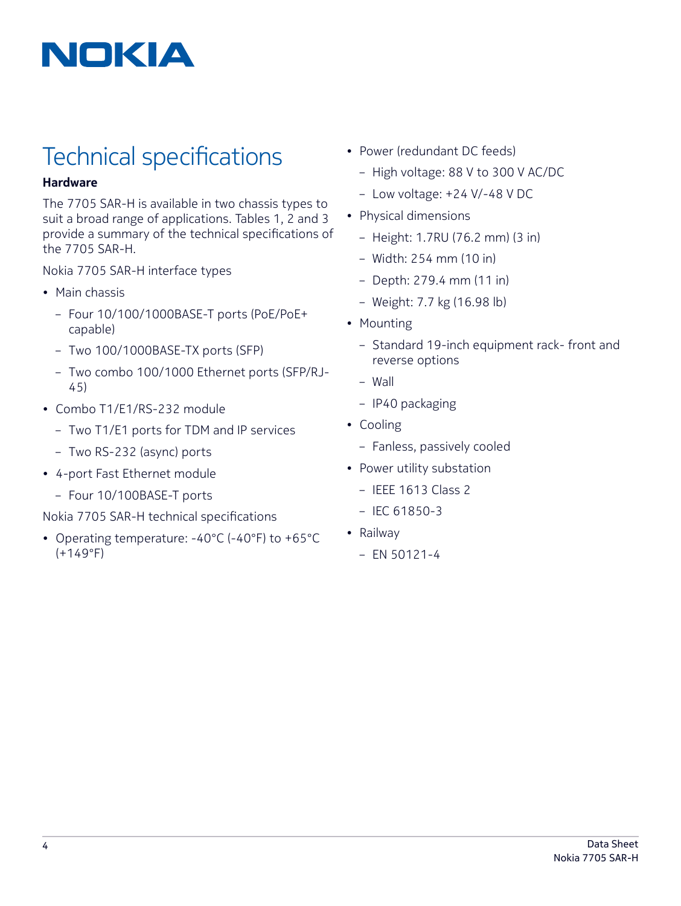

## Technical specifications

#### Hardware

The 7705 SAR-H is available in two chassis types to suit a broad range of applications. Tables 1, 2 and 3 provide a summary of the technical specifications of the 7705 SAR-H.

Nokia 7705 SAR-H interface types

- Main chassis
	- Four 10/100/1000BASE-T ports (PoE/PoE+ capable)
	- Two 100/1000BASE-TX ports (SFP)
	- Two combo 100/1000 Ethernet ports (SFP/RJ-45)
- Combo T1/E1/RS-232 module
	- Two T1/E1 ports for TDM and IP services
	- Two RS-232 (async) ports
- 4-port Fast Ethernet module
	- Four 10/100BASE-T ports

Nokia 7705 SAR-H technical specifications

• Operating temperature: -40°C (-40°F) to +65°C (+149°F)

- Power (redundant DC feeds)
	- High voltage: 88 V to 300 V AC/DC
	- Low voltage: +24 V/-48 V DC
- Physical dimensions
	- Height: 1.7RU (76.2 mm) (3 in)
	- Width: 254 mm (10 in)
	- Depth: 279.4 mm (11 in)
	- Weight: 7.7 kg (16.98 lb)
- Mounting
	- Standard 19-inch equipment rack- front and reverse options
	- Wall
	- IP40 packaging
- Cooling
	- Fanless, passively cooled
- Power utility substation
	- IEEE 1613 Class 2
	- IEC 61850-3
- Railway
	- $-$  EN 50121-4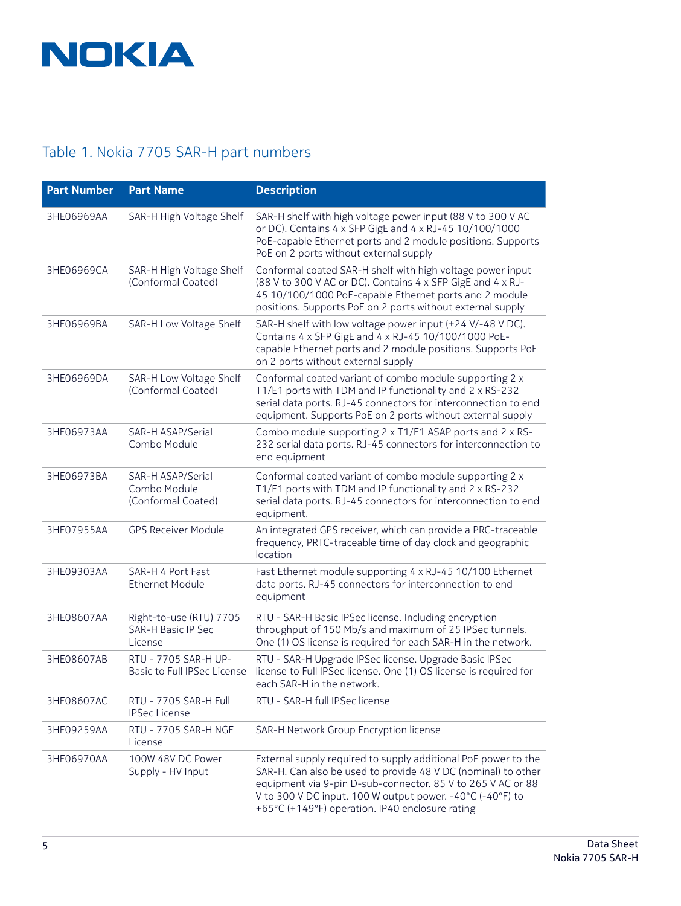

#### Table 1. Nokia 7705 SAR-H part numbers

| <b>Part Number</b> | <b>Part Name</b>                                         | <b>Description</b>                                                                                                                                                                                                                                                                                             |
|--------------------|----------------------------------------------------------|----------------------------------------------------------------------------------------------------------------------------------------------------------------------------------------------------------------------------------------------------------------------------------------------------------------|
| 3HE06969AA         | SAR-H High Voltage Shelf                                 | SAR-H shelf with high voltage power input (88 V to 300 V AC<br>or DC). Contains 4 x SFP GigE and 4 x RJ-45 10/100/1000<br>PoE-capable Ethernet ports and 2 module positions. Supports<br>PoE on 2 ports without external supply                                                                                |
| 3HE06969CA         | SAR-H High Voltage Shelf<br>(Conformal Coated)           | Conformal coated SAR-H shelf with high voltage power input<br>(88 V to 300 V AC or DC). Contains 4 x SFP GigE and 4 x RJ-<br>45 10/100/1000 PoE-capable Ethernet ports and 2 module<br>positions. Supports PoE on 2 ports without external supply                                                              |
| 3HE06969BA         | SAR-H Low Voltage Shelf                                  | SAR-H shelf with low voltage power input (+24 V/-48 V DC).<br>Contains 4 x SFP GigE and 4 x RJ-45 10/100/1000 PoE-<br>capable Ethernet ports and 2 module positions. Supports PoE<br>on 2 ports without external supply                                                                                        |
| 3HE06969DA         | SAR-H Low Voltage Shelf<br>(Conformal Coated)            | Conformal coated variant of combo module supporting 2 x<br>T1/E1 ports with TDM and IP functionality and 2 x RS-232<br>serial data ports. RJ-45 connectors for interconnection to end<br>equipment. Supports PoE on 2 ports without external supply                                                            |
| 3HE06973AA         | SAR-H ASAP/Serial<br>Combo Module                        | Combo module supporting 2 x T1/E1 ASAP ports and 2 x RS-<br>232 serial data ports. RJ-45 connectors for interconnection to<br>end equipment                                                                                                                                                                    |
| 3HE06973BA         | SAR-H ASAP/Serial<br>Combo Module<br>(Conformal Coated)  | Conformal coated variant of combo module supporting 2 x<br>T1/E1 ports with TDM and IP functionality and 2 x RS-232<br>serial data ports. RJ-45 connectors for interconnection to end<br>equipment.                                                                                                            |
| 3HE07955AA         | <b>GPS Receiver Module</b>                               | An integrated GPS receiver, which can provide a PRC-traceable<br>frequency, PRTC-traceable time of day clock and geographic<br>location                                                                                                                                                                        |
| 3HE09303AA         | SAR-H 4 Port Fast<br><b>Ethernet Module</b>              | Fast Ethernet module supporting 4 x RJ-45 10/100 Ethernet<br>data ports. RJ-45 connectors for interconnection to end<br>equipment                                                                                                                                                                              |
| 3HE08607AA         | Right-to-use (RTU) 7705<br>SAR-H Basic IP Sec<br>License | RTU - SAR-H Basic IPSec license. Including encryption<br>throughput of 150 Mb/s and maximum of 25 IPSec tunnels.<br>One (1) OS license is required for each SAR-H in the network.                                                                                                                              |
| 3HE08607AB         | RTU - 7705 SAR-H UP-<br>Basic to Full IPSec License      | RTU - SAR-H Upgrade IPSec license. Upgrade Basic IPSec<br>license to Full IPSec license. One (1) OS license is required for<br>each SAR-H in the network.                                                                                                                                                      |
| 3HE08607AC         | RTU - 7705 SAR-H Full<br><b>IPSec License</b>            | RTU - SAR-H full IPSec license                                                                                                                                                                                                                                                                                 |
| 3HE09259AA         | RTU - 7705 SAR-H NGE<br>License                          | SAR-H Network Group Encryption license                                                                                                                                                                                                                                                                         |
| 3HE06970AA         | 100W 48V DC Power<br>Supply - HV Input                   | External supply required to supply additional PoE power to the<br>SAR-H. Can also be used to provide 48 V DC (nominal) to other<br>equipment via 9-pin D-sub-connector. 85 V to 265 V AC or 88<br>V to 300 V DC input. 100 W output power. -40°C (-40°F) to<br>+65°C (+149°F) operation. IP40 enclosure rating |